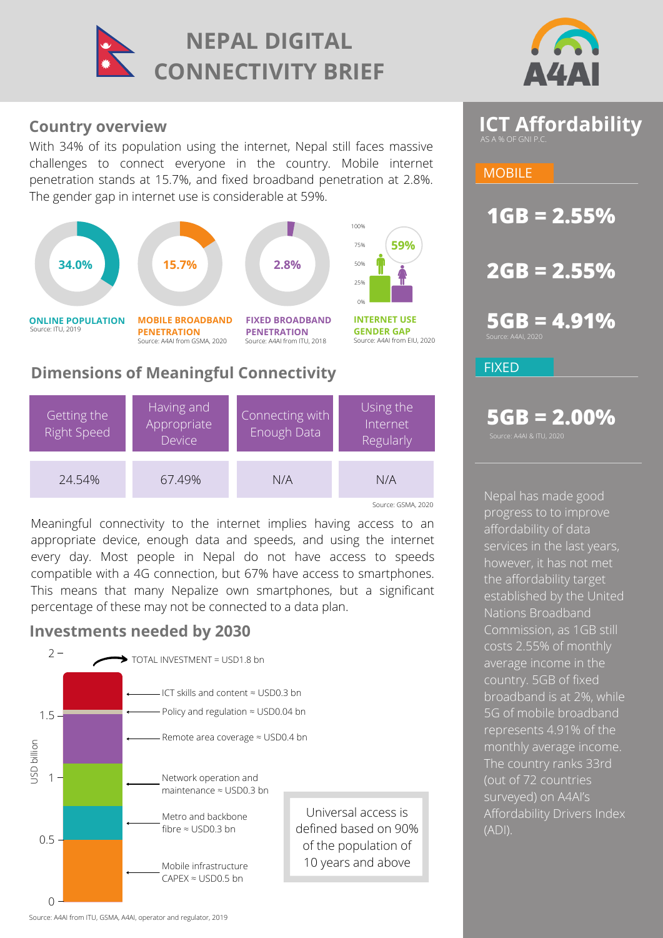



# **Country overview**

With 34% of its population using the internet, Nepal still faces massive challenges to connect everyone in the country. Mobile internet penetration stands at 15.7%, and fixed broadband penetration at 2.8%. The gender gap in internet use is considerable at 59%.





Meaningful connectivity to the internet implies having access to an appropriate device, enough data and speeds, and using the internet every day. Most people in Nepal do not have access to speeds compatible with a 4G connection, but 67% have access to smartphones. This means that many Nepalize own smartphones, but a significant percentage of these may not be connected to a data plan.

# **Investments needed by 2030**





**1GB = 2.55%**

**2GB = 2.55%**

**5GB = 4.91%**

FIXED

# **5GB = 2.00%**

.<br>Surce: A4AI & ITU, 2020

Nepal has made good progress to to improve affordability of data services in the last years, however, it has not met the affordability target [established by the United](https://www.itu.int/en/mediacentre/Pages/2018-PR01.aspx) Nations Broadband Commission, as 1GB still costs 2.55% of monthly average income in the country. 5GB of fixed broadband is at 2%, while 5G of mobile broadband represents 4.91% of the monthly average income. The country ranks 33rd (out of 72 countries surveyed) on A4AI's Affordability Drivers Index (ADI).